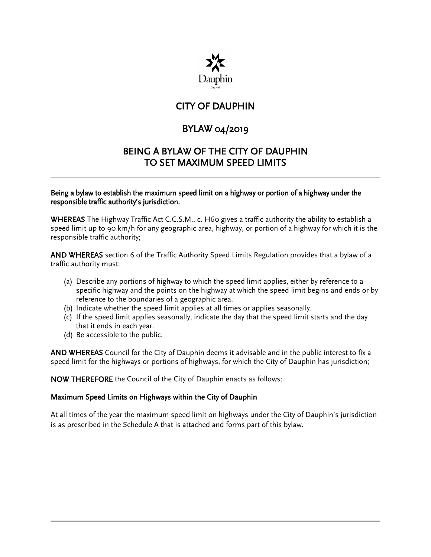

## CITY OF DAUPHIN

# BYLAW 04/2019

### BEING A BYLAW OF THE CITY OF DAUPHIN TO SET MAXIMUM SPEED LIMITS

#### Being a bylaw to establish the maximum speed limit on a highway or portion of a highway under the responsible traffic authority's jurisdiction.

WHEREAS The Highway Traffic Act C.C.S.M., c. H60 gives a traffic authority the ability to establish a speed limit up to 90 km/h for any geographic area, highway, or portion of a highway for which it is the responsible traffic authority;

AND WHEREAS section 6 of the Traffic Authority Speed Limits Regulation provides that a bylaw of a traffic authority must:

- (a) Describe any portions of highway to which the speed limit applies, either by reference to a specific highway and the points on the highway at which the speed limit begins and ends or by reference to the boundaries of a geographic area.
- (b) Indicate whether the speed limit applies at all times or applies seasonally.
- (c) If the speed limit applies seasonally, indicate the day that the speed limit starts and the day that it ends in each year.
- (d) Be accessible to the public.

AND WHEREAS Council for the City of Dauphin deems it advisable and in the public interest to fix a speed limit for the highways or portions of highways, for which the City of Dauphin has jurisdiction;

NOW THEREFORE the Council of the City of Dauphin enacts as follows:

#### Maximum Speed Limits on Highways within the City of Dauphin

At all times of the year the maximum speed limit on highways under the City of Dauphin's jurisdiction is as prescribed in the Schedule A that is attached and forms part of this bylaw.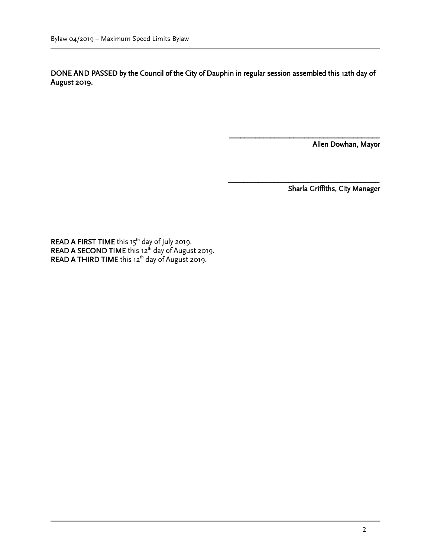DONE AND PASSED by the Council of the City of Dauphin in regular session assembled this 12th day of August 2019.

 $\mathcal{L}_\mathcal{L}$  , which is a set of the set of the set of the set of the set of the set of the set of the set of the set of the set of the set of the set of the set of the set of the set of the set of the set of the set of

Allen Dowhan, Mayor

Sharla Griffiths, City Manager

\_\_\_\_\_\_\_\_\_\_\_\_\_\_\_\_\_\_\_\_\_\_\_\_\_\_\_\_\_\_\_\_\_\_\_\_\_\_\_\_

**READ A FIRST TIME** this  $15^{th}$  day of July 2019. **READ A SECOND TIME** this  $12^{th}$  day of August 2019. READ A THIRD TIME this  $12<sup>th</sup>$  day of August 2019.